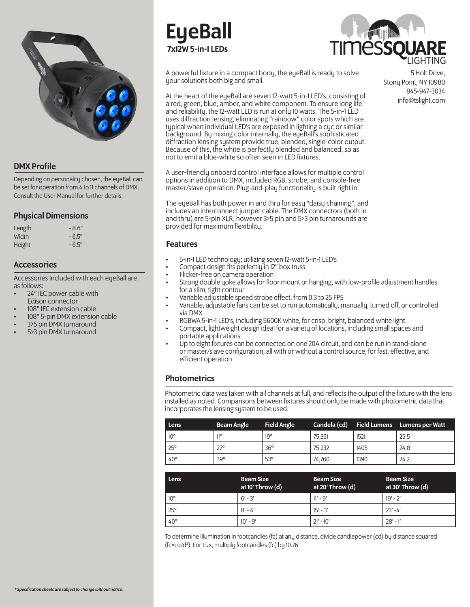

# DMX Profile

Depending on personality chosen, the eyeBall can be set for operation from 4 to 11 channels of DMX. Consult the User Manual for further details.

# Physical Dimensions

| Length | $-8.6"$ |
|--------|---------|
| Width  | $-6.5"$ |
| Height | $-6.5"$ |

# Accessories

Accessories Included with each eyeBall are as follows:

- 24" IEC power cable with Edison connector
- 108" IEC extension cable
- 108" 5-pin DMX extension cable
- 3>5 pin DMX turnaround
- 5>3 pin DMX turnaround

# **EueBall** 7x12W 5-in-1 LEDs



A powerful fixture in a compact body, the eyeBall is ready to solve your solutions both big and small.

At the heart of the eyeBall are seven 12-watt 5-in-1 LED's, consisting of a red, green, blue, amber, and white component. To ensure long life and reliability, the 12-watt LED is run at only 10 watts. The 5-in-1 LED uses diffraction lensing, eliminating "rainbow" color spots which are typical when individual LED's are exposed in lighting a cyc or similar background. By mixing color internally, the eyeBall's sophisticated diffraction lensing system provide true, blended, single-color output. Because of this, the white is perfectly blended and balanced, so as not to emit a blue-white so often seen in LED fixtures.

A user-friendly onboard control interface allows for multiple control options in addition to DMX, included RGB, strobe, and console-free master/slave operation. Plug-and-play functionality is built right in.

The eyeBall has both power in and thru for easy "daisy chaining", and includes an interconnect jumper cable. The DMX connectors (both in and thru) are 5-pin XLR, however 3>5 pin and 5>3 pin turnarounds are provided for maximum flexibility.

# Features

- 5-in-1 LED technology; utilizing seven 12-watt 5-in-1 LED's
- Compact design fits perfectly in 12" box truss
- Flicker-free on camera operation
- Strong double yoke allows for floor mount or hanging, with low-profile adjustment handles for a slim, tight contour
- Variable adjustable speed strobe effect, from 0.3 to 25 FPS
- Variable, adjustable fans can be set to run automatically, manually, turned off, or controlled via DMX
- RGBWA 5-in-1 LED's, including 5600K white, for crisp, bright, balanced white light
- Compact, lightweight design ideal for a variety of locations, including small spaces and portable applications
- Up to eight fixtures can be connected on one 20A circuit, and can be run in stand-alone or master/slave configuration, all with or without a control source, for fast, effective, and efficient operation

# **Photometrics**

Photometric data was taken with all channels at full, and reflects the output of the fixture with the lens installed as noted. Comparisons between fixtures should only be made with photometric data that incorporates the lensing system to be used.

| Lens         | <b>Beam Angle</b> | <b>Field Angle</b> |        |      | Candela (cd) Field Lumens Lumens per Watt |
|--------------|-------------------|--------------------|--------|------|-------------------------------------------|
| $10^{\circ}$ | 110               | $19^{\circ}$       | 75.351 | 1521 | 25.5                                      |
| $25^{\circ}$ | $22^{\circ}$      | $36^\circ$         | 75.232 | 1405 | 24.8                                      |
| $40^{\circ}$ | 39°               | 53°                | 74,760 | 1390 | 24.2                                      |

| Lens         | <b>Beam Size</b><br>at 10' Throw $(d)$ | <b>Beam Size</b><br>at 20' Throw $(d)$ | <b>Beam Size</b><br>at 30' Throw $(d)$ |
|--------------|----------------------------------------|----------------------------------------|----------------------------------------|
| $10^{\circ}$ | $6' - 3'$                              | $11' - 9'$                             | $19' - 2'$                             |
| $25^{\circ}$ | $8' - 4'$                              | $15' - 3'$                             | $23' - 4'$                             |
| $40^{\circ}$ | $10' - 9'$                             | $21' - 10'$                            | $28' - 1'$                             |

To determine illumination in footcandles (fc) at any distance, divide candlepower (cd) by distance squared (fc=cd/d²). For Lux, multiply footcandles (fc) by 10.76.

5 Holt Drive, Stony Point, NY 10980 845-947-3034 info@tslight.com